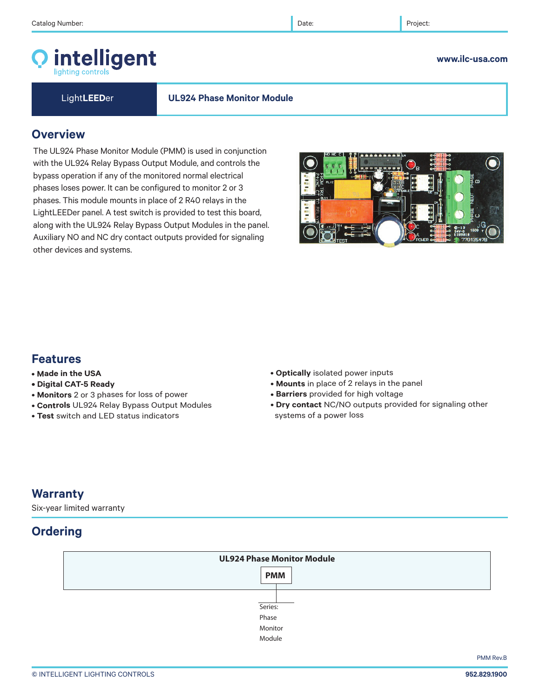# intelligent

### **www.ilc-usa.com**

Light**LEED**er **UL924 Phase Monitor Module**

## **Overview**

The UL924 Phase Monitor Module (PMM) is used in conjunction with the UL924 Relay Bypass Output Module, and controls the bypass operation if any of the monitored normal electrical phases loses power. It can be configured to monitor 2 or 3 phases. This module mounts in place of 2 R40 relays in the LightLEEDer panel. A test switch is provided to test this board, along with the UL924 Relay Bypass Output Modules in the panel. Auxiliary NO and NC dry contact outputs provided for signaling other devices and systems.

# **Features**

- **Made in the USA**
- **Digital CAT-5 Ready**
- **Monitors** 2 or 3 phases for loss of power
- **Controls** UL924 Relay Bypass Output Modules
- **Test** switch and LED status indicators
- **Optically** isolated power inputs
- **Mounts** in place of 2 relays in the panel
- **Barriers** provided for high voltage
- **Dry contact** NC/NO outputs provided for signaling other systems of a power loss

# **Warranty**

Six-year limited warranty

# **Ordering**